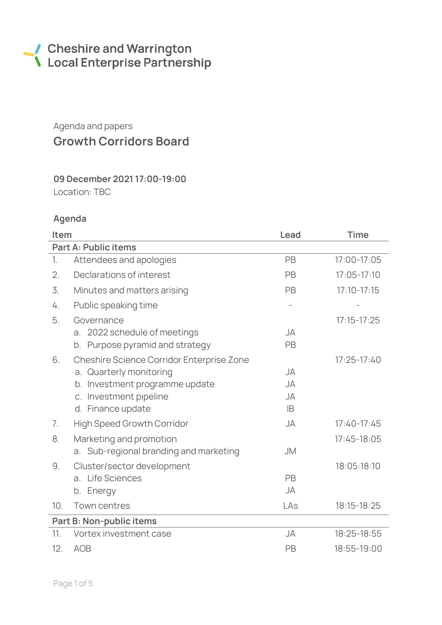# Cheshire and Warrington<br>
Local Enterprise Partnership

# Agenda and papers Growth Corridors Board

# 09 December 2021 17:00-19:00

Location: TBC

## Agenda

| Item                        |                                           | Lead      | <b>Time</b>     |  |  |  |  |
|-----------------------------|-------------------------------------------|-----------|-----------------|--|--|--|--|
| <b>Part A: Public items</b> |                                           |           |                 |  |  |  |  |
| 1.                          | Attendees and apologies                   | PB        | 17:00-17:05     |  |  |  |  |
| 2.                          | Declarations of interest                  | PB        | $17:05 - 17:10$ |  |  |  |  |
| 3.                          | Minutes and matters arising               | PB        | $17:10 - 17:15$ |  |  |  |  |
| 4.                          | Public speaking time                      |           |                 |  |  |  |  |
| 5.                          | Governance                                |           | $17:15 - 17:25$ |  |  |  |  |
|                             | a. 2022 schedule of meetings              | JA        |                 |  |  |  |  |
|                             | Purpose pyramid and strategy<br>b.        | PB        |                 |  |  |  |  |
| 6.                          | Cheshire Science Corridor Enterprise Zone |           | $17:25 - 17:40$ |  |  |  |  |
|                             | a. Quarterly monitoring                   | <b>JA</b> |                 |  |  |  |  |
|                             | b. Investment programme update            | <b>JA</b> |                 |  |  |  |  |
|                             | c. Investment pipeline                    | <b>JA</b> |                 |  |  |  |  |
|                             | d. Finance update                         | <b>IB</b> |                 |  |  |  |  |
| 7.                          | <b>High Speed Growth Corridor</b>         | JA        | $17:40-17:45$   |  |  |  |  |
| 8.                          | Marketing and promotion                   |           | 17:45-18:05     |  |  |  |  |
|                             | a. Sub-regional branding and marketing    | <b>JM</b> |                 |  |  |  |  |
| 9.                          | Cluster/sector development                |           | 18:05:18:10     |  |  |  |  |
|                             | <b>Life Sciences</b><br>a <sub>1</sub>    | PB        |                 |  |  |  |  |
|                             | Energy<br>b.                              | JA        |                 |  |  |  |  |
| 10.                         | Town centres                              | LAs       | 18:15-18:25     |  |  |  |  |
| Part B: Non-public items    |                                           |           |                 |  |  |  |  |
| 11.                         | Vortex investment case                    | <b>JA</b> | 18:25-18:55     |  |  |  |  |
| 12.                         | <b>AOB</b>                                | PB        | 18:55-19:00     |  |  |  |  |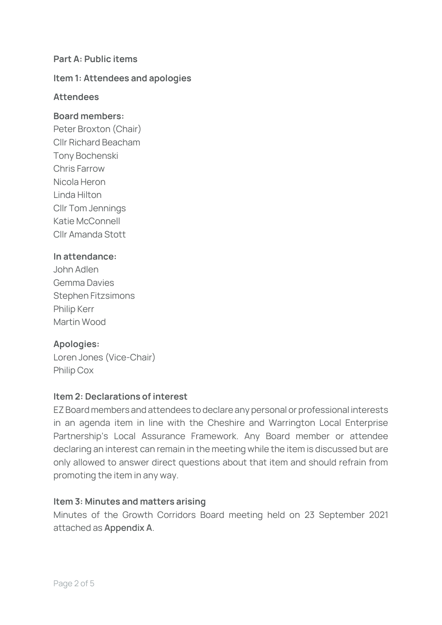#### Part A: Public items

#### Item 1: Attendees and apologies

#### **Attendees**

#### Board members:

Peter Broxton (Chair) Cllr Richard Beacham Tony Bochenski Chris Farrow Nicola Heron Linda Hilton Cllr Tom Jennings Katie McConnell Cllr Amanda Stott

#### In attendance:

| John Adlen                |
|---------------------------|
| <b>Gemma Davies</b>       |
| <b>Stephen Fitzsimons</b> |
| <b>Philip Kerr</b>        |
| Martin Wood               |

#### Apologies:

Loren Jones (Vice-Chair) Philip Cox

#### Item 2: Declarations of interest

EZ Board members and attendees to declare any personal or professional interests in an agenda item in line with the Cheshire and Warrington Local Enterprise Partnership's Local Assurance Framework. Any Board member or attendee declaring an interest can remain in the meeting while the item is discussed but are only allowed to answer direct questions about that item and should refrain from promoting the item in any way.

#### Item 3: Minutes and matters arising

Minutes of the Growth Corridors Board meeting held on 23 September 2021 attached as **Appendix A**.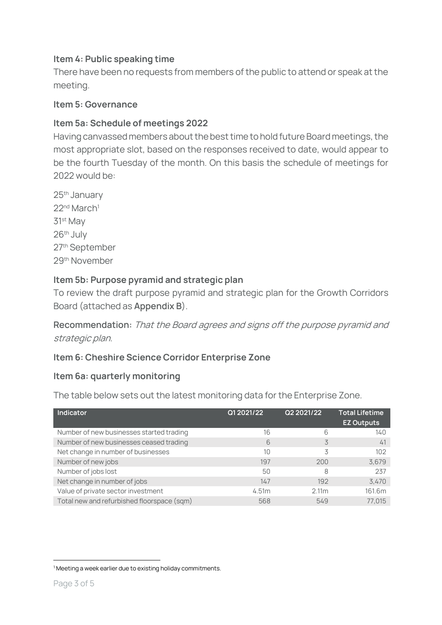### Item 4: Public speaking time

There have been no requests from members of the public to attend or speak at the meeting.

#### Item 5: Governance

#### Item 5a: Schedule of meetings 2022

Having canvassed members about the best time to hold future Board meetings, the most appropriate slot, based on the responses received to date, would appear to be the fourth Tuesday of the month. On this basis the schedule of meetings for 2022 would be:

25th January 22<sup>nd</sup> March<sup>1</sup> 31st May 26th July 27th September 29th November

#### Item 5b: Purpose pyramid and strategic plan

To review the draft purpose pyramid and strategic plan for the Growth Corridors Board (attached as **Appendix B**).

**Recommendation:** That the Board agrees and signs off the purpose pyramid and strategic plan.

#### Item 6: Cheshire Science Corridor Enterprise Zone

#### Item 6a: quarterly monitoring

The table below sets out the latest monitoring data for the Enterprise Zone.

| Indicator                                  | Q1 2021/22 | Q2 2021/22        | <b>Total Lifetime</b><br><b>EZ Outputs</b> |
|--------------------------------------------|------------|-------------------|--------------------------------------------|
| Number of new businesses started trading   | 16         | 6                 | 140                                        |
| Number of new businesses ceased trading    | 6          | 3                 | 41                                         |
| Net change in number of businesses         | 10         | 3                 | 102                                        |
| Number of new jobs                         | 197        | 200               | 3,679                                      |
| Number of jobs lost                        | 50         | 8                 | 237                                        |
| Net change in number of jobs               | 147        | 192               | 3,470                                      |
| Value of private sector investment         | 4.51m      | 2.11 <sub>m</sub> | 161.6m                                     |
| Total new and refurbished floorspace (sqm) | 568        | 549               | 77.015                                     |

<sup>&</sup>lt;sup>1</sup> Meeting a week earlier due to existing holiday commitments.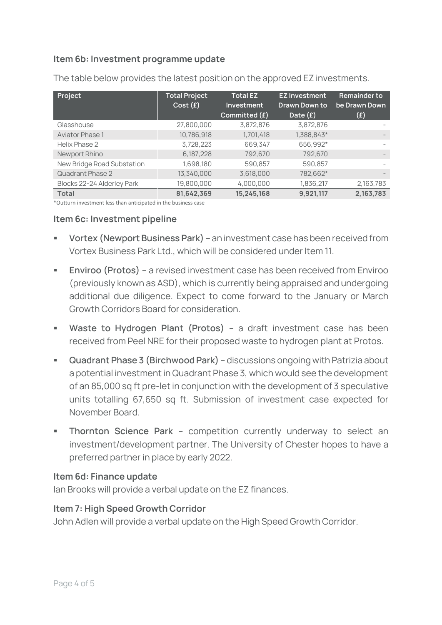## Item 6b: Investment programme update

| Project                    | <b>Total Project</b><br>Cost(f) | <b>Total EZ</b><br>Investment<br>Committed $(f)$ | <b>EZ Investment</b><br>Drawn Down to<br>Date $(f)$ | <b>Remainder to</b><br>be Drawn Down<br>(£) |
|----------------------------|---------------------------------|--------------------------------------------------|-----------------------------------------------------|---------------------------------------------|
| Glasshouse                 | 27,800,000                      | 3,872,876                                        | 3,872,876                                           |                                             |
| <b>Aviator Phase 1</b>     | 10,786,918                      | 1,701,418                                        | 1,388,843*                                          |                                             |
| Helix Phase 2              | 3,728,223                       | 669,347                                          | 656,992*                                            |                                             |
| Newport Rhino              | 6,187,228                       | 792,670                                          | 792,670                                             | $\qquad \qquad -$                           |
| New Bridge Road Substation | 1,698,180                       | 590.857                                          | 590,857                                             |                                             |
| Quadrant Phase 2           | 13,340,000                      | 3,618,000                                        | 782,662*                                            | $\overline{\phantom{a}}$                    |
| Blocks 22-24 Alderley Park | 19,800,000                      | 4,000,000                                        | 1,836,217                                           | 2,163,783                                   |
| <b>Total</b>               | 81,642,369                      | 15,245,168                                       | 9,921,117                                           | 2,163,783                                   |

The table below provides the latest position on the approved EZ investments.

\*Outturn investment less than anticipated in the business case

#### Item 6c: Investment pipeline

- **Vortex (Newport Business Park)** an investment case has been received from Vortex Business Park Ltd., which will be considered under Item 11.
- **Enviroo (Protos)** a revised investment case has been received from Enviroo (previously known as ASD), which is currently being appraised and undergoing additional due diligence. Expect to come forward to the January or March Growth Corridors Board for consideration.
- **Waste to Hydrogen Plant (Protos)** a draft investment case has been received from Peel NRE for their proposed waste to hydrogen plant at Protos.
- **Quadrant Phase 3 (Birchwood Park)** discussions ongoing with Patrizia about a potential investment in Quadrant Phase 3, which would see the development of an 85,000 sq ft pre-let in conjunction with the development of 3 speculative units totalling 67,650 sq ft. Submission of investment case expected for November Board.
- **EXTED Thornton Science Park** competition currently underway to select an investment/development partner. The University of Chester hopes to have a preferred partner in place by early 2022.

#### Item 6d: Finance update

Ian Brooks will provide a verbal update on the EZ finances.

#### Item 7: High Speed Growth Corridor

John Adlen will provide a verbal update on the High Speed Growth Corridor.